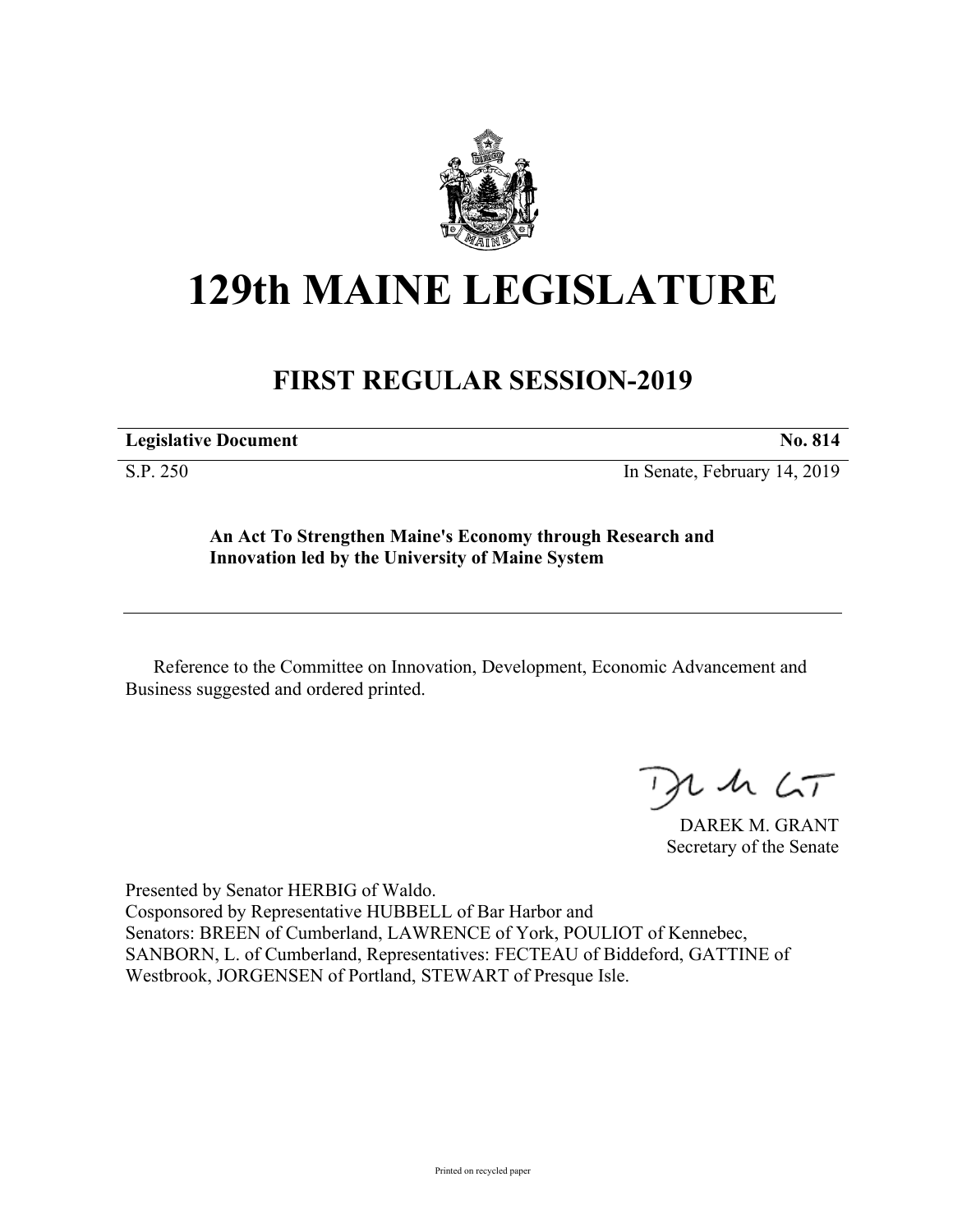

## **129th MAINE LEGISLATURE**

## **FIRST REGULAR SESSION-2019**

**Legislative Document No. 814**

S.P. 250 In Senate, February 14, 2019

**An Act To Strengthen Maine's Economy through Research and Innovation led by the University of Maine System**

Reference to the Committee on Innovation, Development, Economic Advancement and Business suggested and ordered printed.

 $125$ 

DAREK M. GRANT Secretary of the Senate

Presented by Senator HERBIG of Waldo. Cosponsored by Representative HUBBELL of Bar Harbor and Senators: BREEN of Cumberland, LAWRENCE of York, POULIOT of Kennebec, SANBORN, L. of Cumberland, Representatives: FECTEAU of Biddeford, GATTINE of Westbrook, JORGENSEN of Portland, STEWART of Presque Isle.